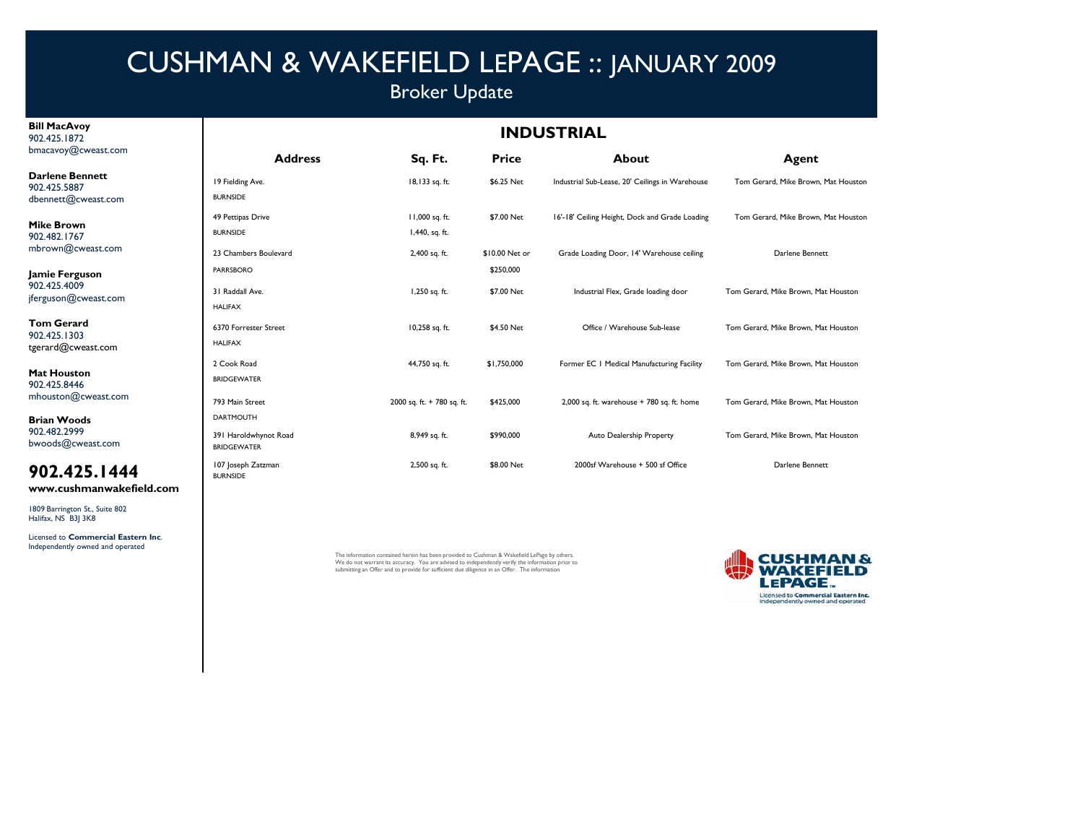## Broker Update

#### **Bill MacAvoy** 902.425.1872bmacavoy@cweast.com

**Darlene Benr** 902.425.5887dbennett@cwe

**Mike Brown** 902.482.1767 mbrown@cwe

**Jamie Fergus** 902.425.4009jferguson@cw

**Tom Gerard**902.425.1303tgerard@cweast.com

**Mat Houston** 902.425.8446mhouston@cv

**Brian Woods** 902.482.2999 bwoods@cwea

### **902.425.1444**

**www.cushmanwakefield.com**

1809 Barrington St., Suite 802 Halifax, NS B3J 3K8

Licensed to **Commercial Eastern Inc**. Independently owned and operated

| <b>INDUSTRIAL</b> |  |  |
|-------------------|--|--|
|-------------------|--|--|

|           | <b>Address</b>                              | Sq. Ft.                    | <b>Price</b>   | About                                           | Agent                               |
|-----------|---------------------------------------------|----------------------------|----------------|-------------------------------------------------|-------------------------------------|
| nett      | 19 Fielding Ave.                            | 18,133 sq. ft.             | \$6.25 Net     | Industrial Sub-Lease, 20' Ceilings in Warehouse | Tom Gerard, Mike Brown, Mat Houston |
| east.com  | <b>BURNSIDE</b>                             |                            |                |                                                 |                                     |
|           | 49 Pettipas Drive                           | I I,000 sq. ft.            | \$7.00 Net     | 16'-18' Ceiling Height, Dock and Grade Loading  | Tom Gerard, Mike Brown, Mat Houston |
|           | <b>BURNSIDE</b>                             | 1,440, sq. ft.             |                |                                                 |                                     |
| east.com  | 23 Chambers Boulevard                       | 2,400 sq. ft.              | \$10.00 Net or | Grade Loading Door, 14' Warehouse ceiling       | Darlene Bennett                     |
| son       | <b>PARRSBORO</b>                            |                            | \$250,000      |                                                 |                                     |
| east.com  | 31 Raddall Ave.                             | 1,250 sq. ft.              | \$7.00 Net     | Industrial Flex, Grade loading door             | Tom Gerard, Mike Brown, Mat Houston |
|           | <b>HALIFAX</b>                              |                            |                |                                                 |                                     |
|           | 6370 Forrester Street                       | 10,258 sq. ft.             | \$4.50 Net     | Office / Warehouse Sub-lease                    | Tom Gerard, Mike Brown, Mat Houston |
| ist.com   | <b>HALIFAX</b>                              |                            |                |                                                 |                                     |
|           | 2 Cook Road                                 | 44,750 sq. ft.             | \$1,750,000    | Former EC   Medical Manufacturing Facility      | Tom Gerard, Mike Brown, Mat Houston |
|           | <b>BRIDGEWATER</b>                          |                            |                |                                                 |                                     |
| veast.com | 793 Main Street                             | 2000 sq. ft. + 780 sq. ft. | \$425,000      | 2,000 sq. ft. warehouse $+ 780$ sq. ft. home    | Tom Gerard, Mike Brown, Mat Houston |
|           | <b>DARTMOUTH</b>                            |                            |                |                                                 |                                     |
| ast.com   | 391 Haroldwhynot Road<br><b>BRIDGEWATER</b> | 8,949 sq. ft.              | \$990,000      | Auto Dealership Property                        | Tom Gerard, Mike Brown, Mat Houston |
| 5. I 444  | 107 Joseph Zatzman<br><b>BURNSIDE</b>       | 2,500 sq. ft.              | \$8.00 Net     | 2000sf Warehouse + 500 sf Office                | Darlene Bennett                     |

The information contained herein has been provided to Cushman & Wakefield LePage by others. We do not warrant its accuracy. You are advised to independently verify the information prior to submitting an Offer and to provide for sufficient due diligence in an Offer. The information

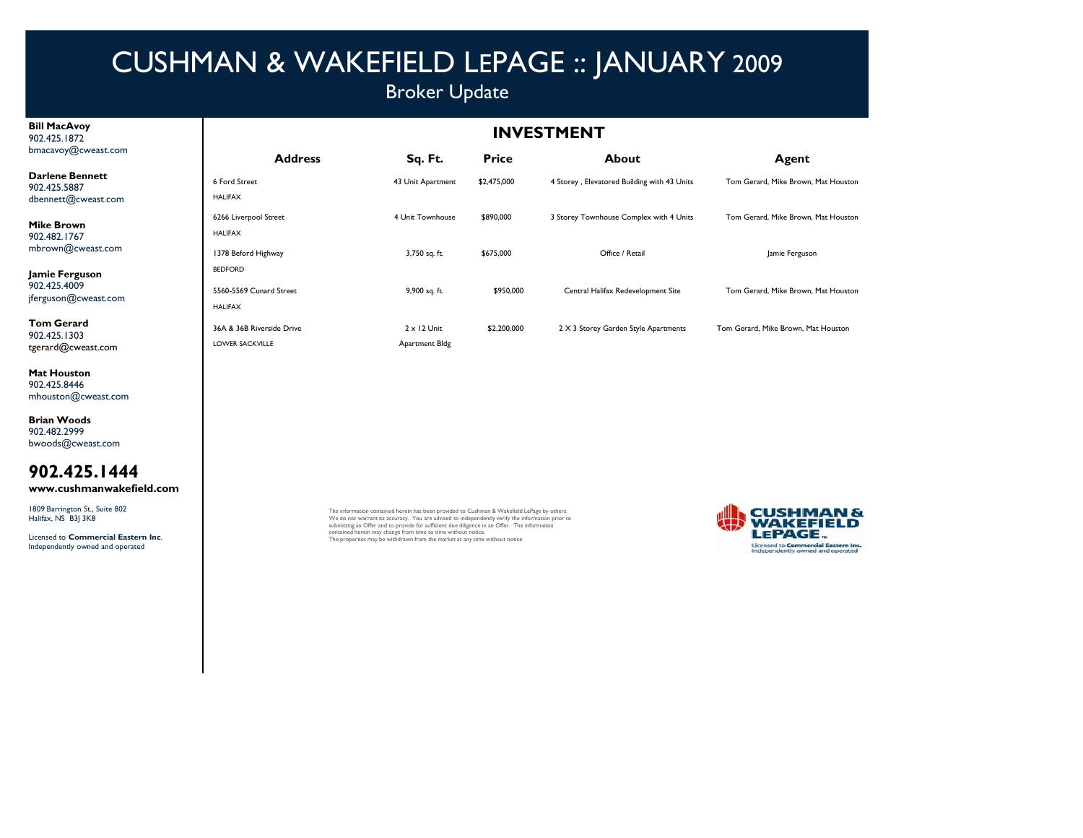### Broker Update

#### **Bill MacAvoy** 902.425.1872bmacavoy@cweast.com

**Darlene Bennett**902.425.5887dbennett@cweast.com

**Mike Brown** 902.482.1767mbrown@cweast.com

**Jamie Ferguson** 902.425.4009jferguson@cweast.com

**Tom Gerard**902.425.1303tgerard@cweast.com

**Mat Houston** 902.425.8446mhouston@cweast.com

**Brian Woods** 902.482.2999 bwoods@cweast.com

### **902.425.1444**

**www.cushmanwakefield.com**

1809 Barrington St., Suite 802 Halifax, NS B3J 3K8

Licensed to **Commercial Eastern Inc**. Independently owned and operated

**INVESTMENT**

| <b>Address</b>                                      | Sq. Ft.                              | <b>Price</b> | About                                       | Agent                               |
|-----------------------------------------------------|--------------------------------------|--------------|---------------------------------------------|-------------------------------------|
| 6 Ford Street<br><b>HALIFAX</b>                     | 43 Unit Apartment                    | \$2,475,000  | 4 Storey, Elevatored Building with 43 Units | Tom Gerard, Mike Brown, Mat Houston |
| 6266 Liverpool Street<br><b>HALIFAX</b>             | 4 Unit Townhouse                     | \$890,000    | 3 Storey Townhouse Complex with 4 Units     | Tom Gerard, Mike Brown, Mat Houston |
| 1378 Beford Highway<br><b>BEDFORD</b>               | 3,750 sq. ft.                        | \$675,000    | Office / Retail                             | Jamie Ferguson                      |
| 5560-5569 Cunard Street<br><b>HALIFAX</b>           | 9,900 sq. ft.                        | \$950,000    | Central Halifax Redevelopment Site          | Tom Gerard, Mike Brown, Mat Houston |
| 36A & 36B Riverside Drive<br><b>LOWER SACKVILLE</b> | $2 \times 12$ Unit<br>Apartment Bldg | \$2,200,000  | 2 X 3 Storey Garden Style Apartments        | Tom Gerard, Mike Brown, Mat Houston |

The information contained herein has been provided to Cushman & Wakefield LePage by others. We do not warrant its accuracy. You are advised to independently verify the information prior to submitting an Offer and to provide for sufficient due diligence in an Offer. The information contained herein may change from time to time without notice. The properties may be withdrawn from the market at any time without notice

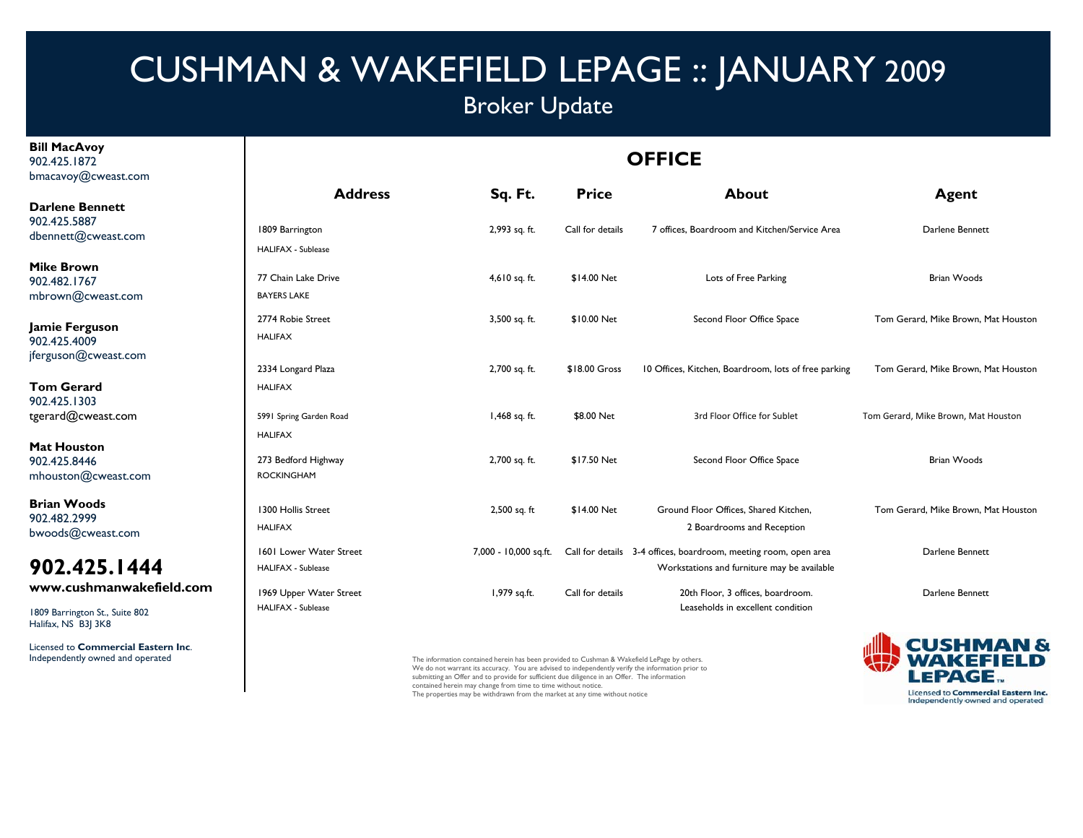## Broker Update

**OFFICE**

**Bill MacAvoy** 902.425.1872bmacavoy@cweast.com

Halifax, NS B3J 3K8

Licensed to **Commercial Eastern Inc**.

#### **Address Sq. Ft. Price About Agent** 1809 Barrington 2,993 sq. ft. Call for details 7 offices, Boardroom and Kitchen/Service Area Darlene Bennett HALIFAX - Sublease77 Chain Lake Drive **1988** The Structure 4,610 sq. ft. \$14.00 Net Lots of Free Parking The Structure Brian Woods BAYERS LAKE2774 Robie Street 2774 Robie Street 3,500 sq. ft. \$10.00 Net Second Floor Office Space 3,500 sq. ft. 3500 sq. ft. 3500 sq. ft. 3500 Sq. ft. 3500 Sq. ft. Second Floor Office Space 3,500 sq. ft. 3500 sq. ft. 3500 Sq. ft. 350 HALIFAX2,334 Longard Plaza 2,700 sq. ft. \$18.00 Gross 10 Offices, Kitchen, Boardroom, lots of free parking Tom Gerard, Mike Brown, Mat Houston HALIFAX**Darlene Bennett**902.425.5887dbennett@cweast.com **Mike Brown**902.482.1767mbrown@cweast.com **Jamie Ferguson** 902.425.4009jferguson@cweast.com **Tom Gerard Ge <sup>a</sup> d**5991 Spring Garden Road 1,468 m 1,468 sq. ft. \$8.00 Net 3rd Floor Office for Sublet Tom Gerard, Mike Brown, Mat Houston HALIFAX273 Bedford Highway 2,700 sq. ft. \$17.50 Net Second Floor Office Space Brian Woods ROCKINGHAM1300 Hollis Street 2,500 sq. ft \$14.00 Net Ground Floor Offices, Shared Kitchen, Tom Gerard, Mike Brown, Mat Houston HAI IFAX 2 Boardrooms and Reception 1601 Lower Water Street 7,000 - 10,000 sq.ft. Call for details 3-4 offices, boardroom, meeting room, open area Darlene Bennett HALIFAX - Sublease Workstations and furniture may be available 1969 Upper Water Street 1,979 sq.ft. Call for details 20th Floor, 3 offices, boardroom. Darlene Bennett Darlene Bennett HALIFAX - Sublease Leaseholds in excellent condition902.425.1303tgerard@cweast.com **Mat Houston**902.425.8446mhouston@cweast.com **Brian Woods**902.482.2999bwoods@cweast.com **902.425.1444www.cushmanwakefield.com**1809 Barrington St., Suite 802

Independently owned and operated The information contained herein has been provided to Cushman & Wakefield LePage by others. We do not warrant its accuracy. You are advised to independently verify the information prior to submitting an Offer and to provide for sufficient due diligence in an Offer. The information contained herein may change from time to time without notice. The properties may be withdrawn from the market at any time without notice

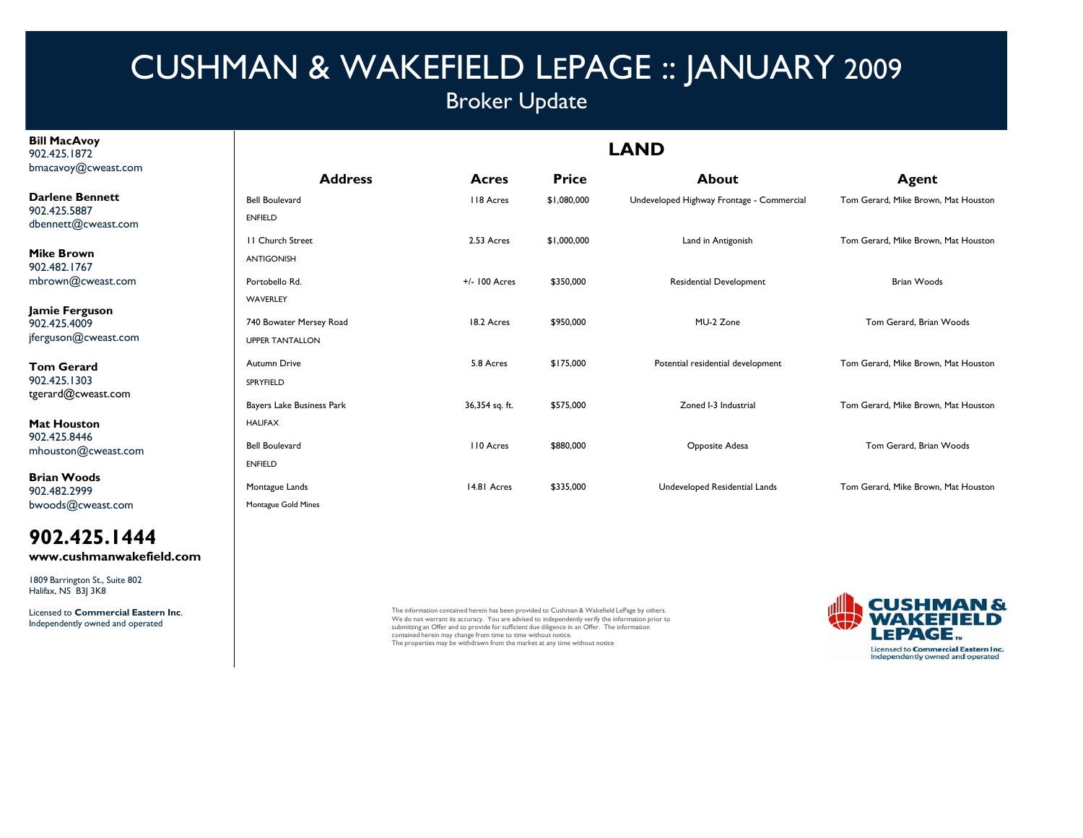## Broker Update

**Bill MacAvoy** 902.425.1872bmacavoy@cweast.com

**Darlene Bennett** 902.425.5887dbennett@cweast.com

**Mike Brown**902.482.1767mbrown@cweast.com

**Jamie Ferguson** 902.425.4009jferguson@cweast.com

**Tom Gerard**902.425.1303tgerard@cweast.com

**Mat Houston**902.425.8446mhouston@cweast.com

**Brian Woods**902.482.2999bwoods@cweast.com

**902.425.1444www.cushmanwakefield.com**

1809 Barrington St., Suite 802 Halifax, NS B3J 3K8

Licensed to **Commercial Eastern Inc**. Independently owned and operated

| <b>Address</b>            | Acres            | <b>Price</b> | <b>About</b>                              | <b>Agent</b>                        |
|---------------------------|------------------|--------------|-------------------------------------------|-------------------------------------|
| <b>Bell Boulevard</b>     | 118 Acres        | \$1,080,000  | Undeveloped Highway Frontage - Commercial | Tom Gerard, Mike Brown, Mat Houston |
| <b>ENFIELD</b>            |                  |              |                                           |                                     |
| <b>II</b> Church Street   | 2.53 Acres       | \$1,000,000  | Land in Antigonish                        | Tom Gerard, Mike Brown, Mat Houston |
| <b>ANTIGONISH</b>         |                  |              |                                           |                                     |
| Portobello Rd.            | +/- 100 Acres    | \$350,000    | Residential Development                   | <b>Brian Woods</b>                  |
| WAVERLEY                  |                  |              |                                           |                                     |
| 740 Bowater Mersey Road   | 18.2 Acres       | \$950,000    | MU-2 Zone                                 | Tom Gerard, Brian Woods             |
| <b>UPPER TANTALLON</b>    |                  |              |                                           |                                     |
| <b>Autumn Drive</b>       | 5.8 Acres        | \$175,000    | Potential residential development         | Tom Gerard, Mike Brown, Mat Houston |
| SPRYFIELD                 |                  |              |                                           |                                     |
| Bayers Lake Business Park | 36,354 sq. ft.   | \$575,000    | Zoned I-3 Industrial                      | Tom Gerard, Mike Brown, Mat Houston |
| <b>HALIFAX</b>            |                  |              |                                           |                                     |
| <b>Bell Boulevard</b>     | <b>110 Acres</b> | \$880,000    | Opposite Adesa                            | Tom Gerard, Brian Woods             |
| <b>ENFIELD</b>            |                  |              |                                           |                                     |
| Montague Lands            | 14.81 Acres      | \$335,000    | Undeveloped Residential Lands             | Tom Gerard, Mike Brown, Mat Houston |
| Montague Gold Mines       |                  |              |                                           |                                     |

The information contained herein has been provided to Cushman & Wakefield LePage by others. We do not warrant its accuracy. You are advised to independently verify the information prior to<br>submitting an Offer and to provide for sufficient due diligence in an Offer. The information<br>contained herein may change from The properties may be withdrawn from the market at any time without notice



#### **LAND**